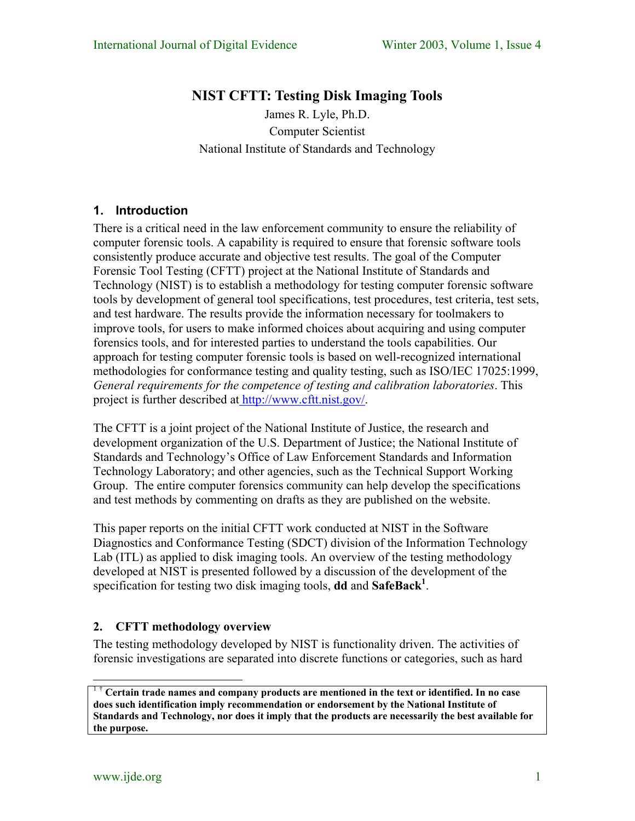# **NIST CFTT: Testing Disk Imaging Tools**

James R. Lyle, Ph.D. Computer Scientist National Institute of Standards and Technology

# **1. Introduction**

There is a critical need in the law enforcement community to ensure the reliability of computer forensic tools. A capability is required to ensure that forensic software tools consistently produce accurate and objective test results. The goal of the Computer Forensic Tool Testing (CFTT) project at the National Institute of Standards and Technology (NIST) is to establish a methodology for testing computer forensic software tools by development of general tool specifications, test procedures, test criteria, test sets, and test hardware. The results provide the information necessary for toolmakers to improve tools, for users to make informed choices about acquiring and using computer forensics tools, and for interested parties to understand the tools capabilities. Our approach for testing computer forensic tools is based on well-recognized international methodologies for conformance testing and quality testing, such as ISO/IEC 17025:1999, *General requirements for the competence of testing and calibration laboratories*. This project is further described at [http://www.cftt.nist.gov/.](http://www.cftt.nist.gov/)

The CFTT is a joint project of the National Institute of Justice, the research and development organization of the U.S. Department of Justice; the National Institute of Standards and Technology's Office of Law Enforcement Standards and Information Technology Laboratory; and other agencies, such as the Technical Support Working Group. The entire computer forensics community can help develop the specifications and test methods by commenting on drafts as they are published on the website.

This paper reports on the initial CFTT work conducted at NIST in the Software Diagnostics and Conformance Testing (SDCT) division of the Information Technology Lab (ITL) as applied to disk imaging tools. An overview of the testing methodology developed at NIST is presented followed by a discussion of the development of the specification for testing two disk imaging tools, **dd** and **SafeBack[1](#page-0-0)** .

# **2. CFTT methodology overview**

The testing methodology developed by NIST is functionality driven. The activities of forensic investigations are separated into discrete functions or categories, such as hard

<span id="page-0-0"></span><sup>1</sup> † **Certain trade names and company products are mentioned in the text or identified. In no case does such identification imply recommendation or endorsement by the National Institute of Standards and Technology, nor does it imply that the products are necessarily the best available for the purpose.**

1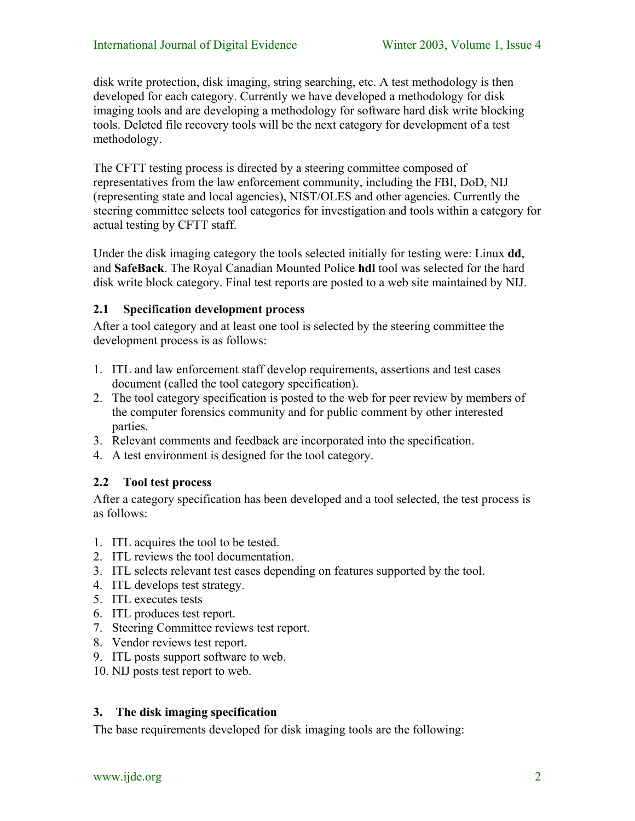disk write protection, disk imaging, string searching, etc. A test methodology is then developed for each category. Currently we have developed a methodology for disk imaging tools and are developing a methodology for software hard disk write blocking tools. Deleted file recovery tools will be the next category for development of a test methodology.

The CFTT testing process is directed by a steering committee composed of representatives from the law enforcement community, including the FBI, DoD, NIJ (representing state and local agencies), NIST/OLES and other agencies. Currently the steering committee selects tool categories for investigation and tools within a category for actual testing by CFTT staff.

Under the disk imaging category the tools selected initially for testing were: Linux **dd**, and **SafeBack**. The Royal Canadian Mounted Police **hdl** tool was selected for the hard disk write block category. Final test reports are posted to a web site maintained by NIJ.

# **2.1 Specification development process**

After a tool category and at least one tool is selected by the steering committee the development process is as follows:

- 1. ITL and law enforcement staff develop requirements, assertions and test cases document (called the tool category specification).
- 2. The tool category specification is posted to the web for peer review by members of the computer forensics community and for public comment by other interested parties.
- 3. Relevant comments and feedback are incorporated into the specification.
- 4. A test environment is designed for the tool category.

# **2.2 Tool test process**

After a category specification has been developed and a tool selected, the test process is as follows:

- 1. ITL acquires the tool to be tested.
- 2. ITL reviews the tool documentation.
- 3. ITL selects relevant test cases depending on features supported by the tool.
- 4. ITL develops test strategy.
- 5. ITL executes tests
- 6. ITL produces test report.
- 7. Steering Committee reviews test report.
- 8. Vendor reviews test report.
- 9. ITL posts support software to web.
- 10. NIJ posts test report to web.

# **3. The disk imaging specification**

The base requirements developed for disk imaging tools are the following: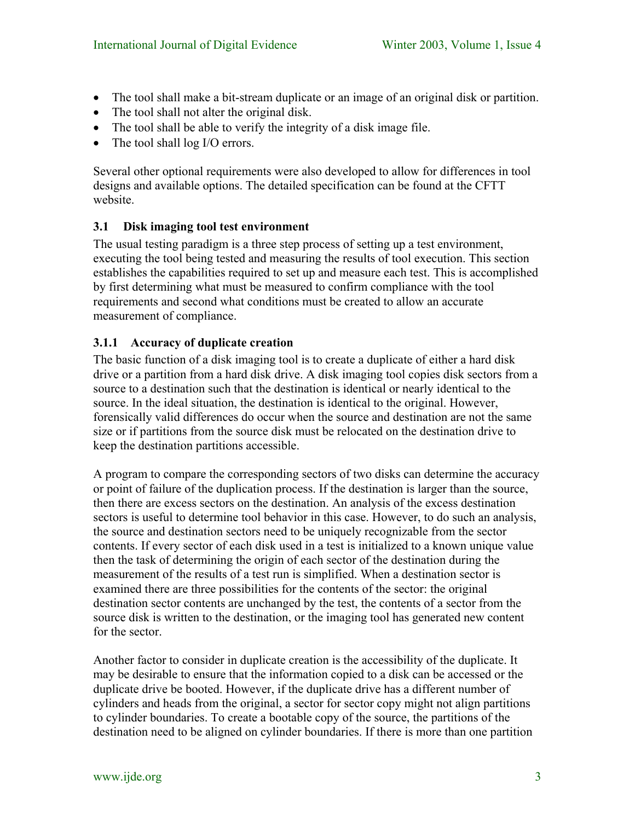- The tool shall make a bit-stream duplicate or an image of an original disk or partition.
- The tool shall not alter the original disk.
- The tool shall be able to verify the integrity of a disk image file.
- The tool shall log I/O errors.

Several other optional requirements were also developed to allow for differences in tool designs and available options. The detailed specification can be found at the CFTT website.

# **3.1 Disk imaging tool test environment**

The usual testing paradigm is a three step process of setting up a test environment, executing the tool being tested and measuring the results of tool execution. This section establishes the capabilities required to set up and measure each test. This is accomplished by first determining what must be measured to confirm compliance with the tool requirements and second what conditions must be created to allow an accurate measurement of compliance.

# **3.1.1 Accuracy of duplicate creation**

The basic function of a disk imaging tool is to create a duplicate of either a hard disk drive or a partition from a hard disk drive. A disk imaging tool copies disk sectors from a source to a destination such that the destination is identical or nearly identical to the source. In the ideal situation, the destination is identical to the original. However, forensically valid differences do occur when the source and destination are not the same size or if partitions from the source disk must be relocated on the destination drive to keep the destination partitions accessible.

A program to compare the corresponding sectors of two disks can determine the accuracy or point of failure of the duplication process. If the destination is larger than the source, then there are excess sectors on the destination. An analysis of the excess destination sectors is useful to determine tool behavior in this case. However, to do such an analysis, the source and destination sectors need to be uniquely recognizable from the sector contents. If every sector of each disk used in a test is initialized to a known unique value then the task of determining the origin of each sector of the destination during the measurement of the results of a test run is simplified. When a destination sector is examined there are three possibilities for the contents of the sector: the original destination sector contents are unchanged by the test, the contents of a sector from the source disk is written to the destination, or the imaging tool has generated new content for the sector.

Another factor to consider in duplicate creation is the accessibility of the duplicate. It may be desirable to ensure that the information copied to a disk can be accessed or the duplicate drive be booted. However, if the duplicate drive has a different number of cylinders and heads from the original, a sector for sector copy might not align partitions to cylinder boundaries. To create a bootable copy of the source, the partitions of the destination need to be aligned on cylinder boundaries. If there is more than one partition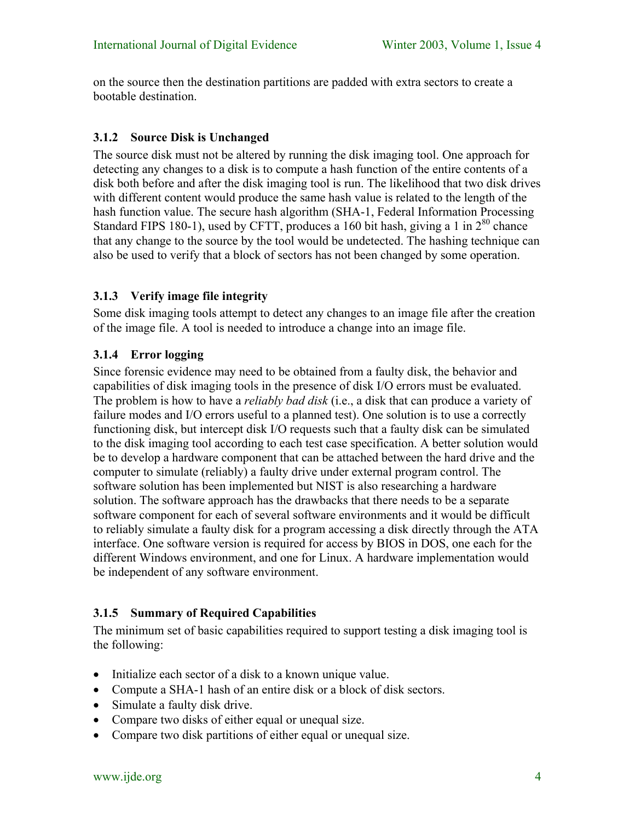on the source then the destination partitions are padded with extra sectors to create a bootable destination.

# **3.1.2 Source Disk is Unchanged**

The source disk must not be altered by running the disk imaging tool. One approach for detecting any changes to a disk is to compute a hash function of the entire contents of a disk both before and after the disk imaging tool is run. The likelihood that two disk drives with different content would produce the same hash value is related to the length of the hash function value. The secure hash algorithm (SHA-1, Federal Information Processing Standard FIPS 180-1), used by CFTT, produces a 160 bit hash, giving a 1 in  $2^{80}$  chance that any change to the source by the tool would be undetected. The hashing technique can also be used to verify that a block of sectors has not been changed by some operation.

# **3.1.3 Verify image file integrity**

Some disk imaging tools attempt to detect any changes to an image file after the creation of the image file. A tool is needed to introduce a change into an image file.

# **3.1.4 Error logging**

Since forensic evidence may need to be obtained from a faulty disk, the behavior and capabilities of disk imaging tools in the presence of disk I/O errors must be evaluated. The problem is how to have a *reliably bad disk* (i.e., a disk that can produce a variety of failure modes and I/O errors useful to a planned test). One solution is to use a correctly functioning disk, but intercept disk I/O requests such that a faulty disk can be simulated to the disk imaging tool according to each test case specification. A better solution would be to develop a hardware component that can be attached between the hard drive and the computer to simulate (reliably) a faulty drive under external program control. The software solution has been implemented but NIST is also researching a hardware solution. The software approach has the drawbacks that there needs to be a separate software component for each of several software environments and it would be difficult to reliably simulate a faulty disk for a program accessing a disk directly through the ATA interface. One software version is required for access by BIOS in DOS, one each for the different Windows environment, and one for Linux. A hardware implementation would be independent of any software environment.

# **3.1.5 Summary of Required Capabilities**

The minimum set of basic capabilities required to support testing a disk imaging tool is the following:

- Initialize each sector of a disk to a known unique value.
- Compute a SHA-1 hash of an entire disk or a block of disk sectors.
- Simulate a faulty disk drive.
- Compare two disks of either equal or unequal size.
- Compare two disk partitions of either equal or unequal size.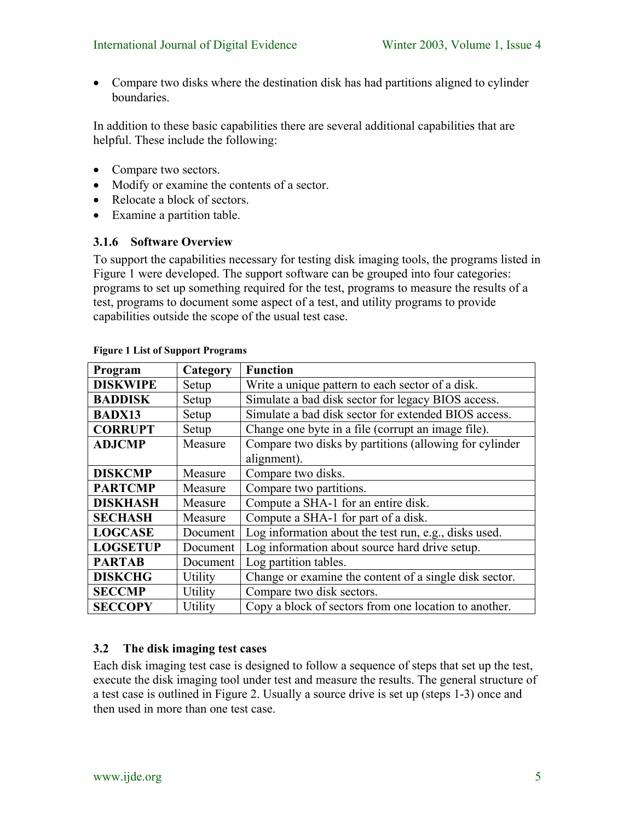• Compare two disks where the destination disk has had partitions aligned to cylinder boundaries.

In addition to these basic capabilities there are several additional capabilities that are helpful. These include the following:

- Compare two sectors.
- Modify or examine the contents of a sector.
- Relocate a block of sectors.
- Examine a partition table.

#### **3.1.6 Software Overview**

To support the capabilities necessary for testing disk imaging tools, the programs listed in [Figure 1](#page-4-0) were developed. The support software can be grouped into four categories: programs to set up something required for the test, programs to measure the results of a test, programs to document some aspect of a test, and utility programs to provide capabilities outside the scope of the usual test case.

| Program         | Category | <b>Function</b>                                        |
|-----------------|----------|--------------------------------------------------------|
| <b>DISKWIPE</b> | Setup    | Write a unique pattern to each sector of a disk.       |
| <b>BADDISK</b>  | Setup    | Simulate a bad disk sector for legacy BIOS access.     |
| <b>BADX13</b>   | Setup    | Simulate a bad disk sector for extended BIOS access.   |
| <b>CORRUPT</b>  | Setup    | Change one byte in a file (corrupt an image file).     |
| <b>ADJCMP</b>   | Measure  | Compare two disks by partitions (allowing for cylinder |
|                 |          | alignment).                                            |
| <b>DISKCMP</b>  | Measure  | Compare two disks.                                     |
| <b>PARTCMP</b>  | Measure  | Compare two partitions.                                |
| <b>DISKHASH</b> | Measure  | Compute a SHA-1 for an entire disk.                    |
| <b>SECHASH</b>  | Measure  | Compute a SHA-1 for part of a disk.                    |
| <b>LOGCASE</b>  | Document | Log information about the test run, e.g., disks used.  |
| <b>LOGSETUP</b> | Document | Log information about source hard drive setup.         |
| <b>PARTAB</b>   | Document | Log partition tables.                                  |
| <b>DISKCHG</b>  | Utility  | Change or examine the content of a single disk sector. |
| <b>SECCMP</b>   | Utility  | Compare two disk sectors.                              |
| <b>SECCOPY</b>  | Utility  | Copy a block of sectors from one location to another.  |

#### <span id="page-4-0"></span>**Figure 1 List of Support Programs**

# **3.2 The disk imaging test cases**

Each disk imaging test case is designed to follow a sequence of steps that set up the test, execute the disk imaging tool under test and measure the results. The general structure of a test case is outlined in [Figure 2.](#page-5-0) Usually a source drive is set up (steps 1-3) once and then used in more than one test case.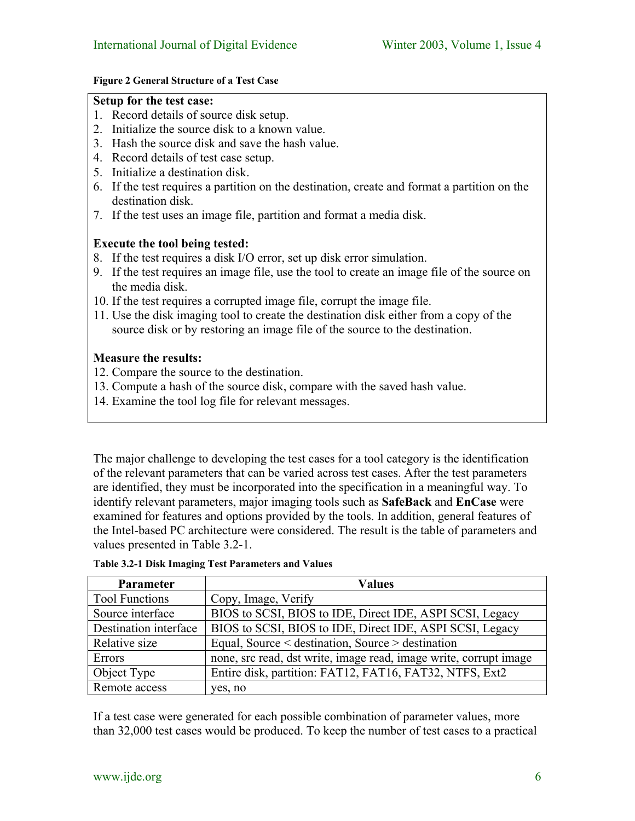#### <span id="page-5-0"></span>**Figure 2 General Structure of a Test Case**

#### **Setup for the test case:**

- 1. Record details of source disk setup.
- 2. Initialize the source disk to a known value.
- 3. Hash the source disk and save the hash value.
- 4. Record details of test case setup.
- 5. Initialize a destination disk.
- 6. If the test requires a partition on the destination, create and format a partition on the destination disk.
- 7. If the test uses an image file, partition and format a media disk.

### **Execute the tool being tested:**

- 8. If the test requires a disk I/O error, set up disk error simulation.
- 9. If the test requires an image file, use the tool to create an image file of the source on the media disk.
- 10. If the test requires a corrupted image file, corrupt the image file.
- 11. Use the disk imaging tool to create the destination disk either from a copy of the source disk or by restoring an image file of the source to the destination.

### **Measure the results:**

- 12. Compare the source to the destination.
- 13. Compute a hash of the source disk, compare with the saved hash value.
- 14. Examine the tool log file for relevant messages.

The major challenge to developing the test cases for a tool category is the identification of the relevant parameters that can be varied across test cases. After the test parameters are identified, they must be incorporated into the specification in a meaningful way. To identify relevant parameters, major imaging tools such as **SafeBack** and **EnCase** were examined for features and options provided by the tools. In addition, general features of the Intel-based PC architecture were considered. The result is the table of parameters and values presented in [Table 3.2-1.](#page-5-1)

| Parameter             | <b>Values</b>                                                     |
|-----------------------|-------------------------------------------------------------------|
| <b>Tool Functions</b> | Copy, Image, Verify                                               |
| Source interface      | BIOS to SCSI, BIOS to IDE, Direct IDE, ASPI SCSI, Legacy          |
| Destination interface | BIOS to SCSI, BIOS to IDE, Direct IDE, ASPI SCSI, Legacy          |
| Relative size         | Equal, Source < destination, Source > destination                 |
| Errors                | none, src read, dst write, image read, image write, corrupt image |
| Object Type           | Entire disk, partition: FAT12, FAT16, FAT32, NTFS, Ext2           |
| Remote access         | yes, no                                                           |

<span id="page-5-1"></span>**Table 3.2-1 Disk Imaging Test Parameters and Values** 

If a test case were generated for each possible combination of parameter values, more than 32,000 test cases would be produced. To keep the number of test cases to a practical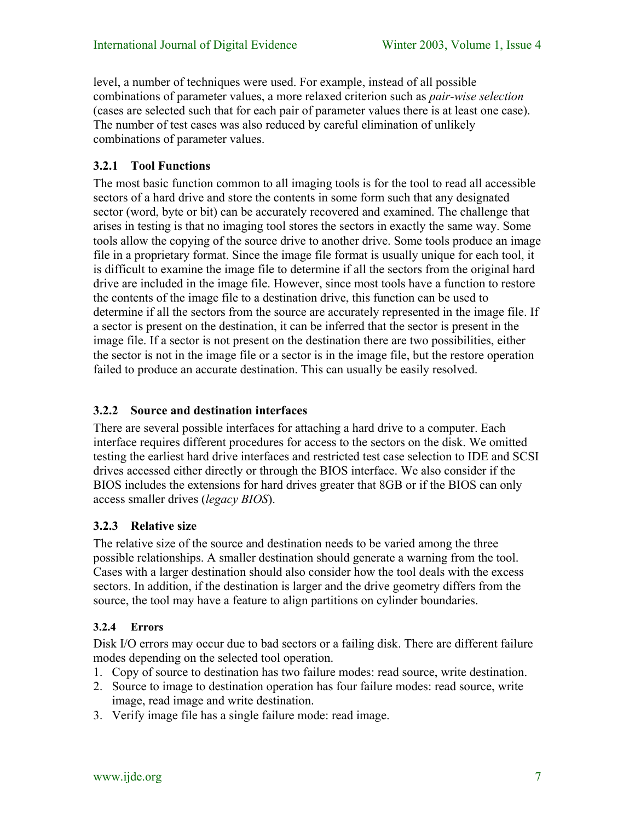level, a number of techniques were used. For example, instead of all possible combinations of parameter values, a more relaxed criterion such as *pair-wise selection* (cases are selected such that for each pair of parameter values there is at least one case). The number of test cases was also reduced by careful elimination of unlikely combinations of parameter values.

# **3.2.1 Tool Functions**

The most basic function common to all imaging tools is for the tool to read all accessible sectors of a hard drive and store the contents in some form such that any designated sector (word, byte or bit) can be accurately recovered and examined. The challenge that arises in testing is that no imaging tool stores the sectors in exactly the same way. Some tools allow the copying of the source drive to another drive. Some tools produce an image file in a proprietary format. Since the image file format is usually unique for each tool, it is difficult to examine the image file to determine if all the sectors from the original hard drive are included in the image file. However, since most tools have a function to restore the contents of the image file to a destination drive, this function can be used to determine if all the sectors from the source are accurately represented in the image file. If a sector is present on the destination, it can be inferred that the sector is present in the image file. If a sector is not present on the destination there are two possibilities, either the sector is not in the image file or a sector is in the image file, but the restore operation failed to produce an accurate destination. This can usually be easily resolved.

# **3.2.2 Source and destination interfaces**

There are several possible interfaces for attaching a hard drive to a computer. Each interface requires different procedures for access to the sectors on the disk. We omitted testing the earliest hard drive interfaces and restricted test case selection to IDE and SCSI drives accessed either directly or through the BIOS interface. We also consider if the BIOS includes the extensions for hard drives greater that 8GB or if the BIOS can only access smaller drives (*legacy BIOS*).

# **3.2.3 Relative size**

The relative size of the source and destination needs to be varied among the three possible relationships. A smaller destination should generate a warning from the tool. Cases with a larger destination should also consider how the tool deals with the excess sectors. In addition, if the destination is larger and the drive geometry differs from the source, the tool may have a feature to align partitions on cylinder boundaries.

# **3.2.4 Errors**

Disk I/O errors may occur due to bad sectors or a failing disk. There are different failure modes depending on the selected tool operation.

- 1. Copy of source to destination has two failure modes: read source, write destination.
- 2. Source to image to destination operation has four failure modes: read source, write image, read image and write destination.
- 3. Verify image file has a single failure mode: read image.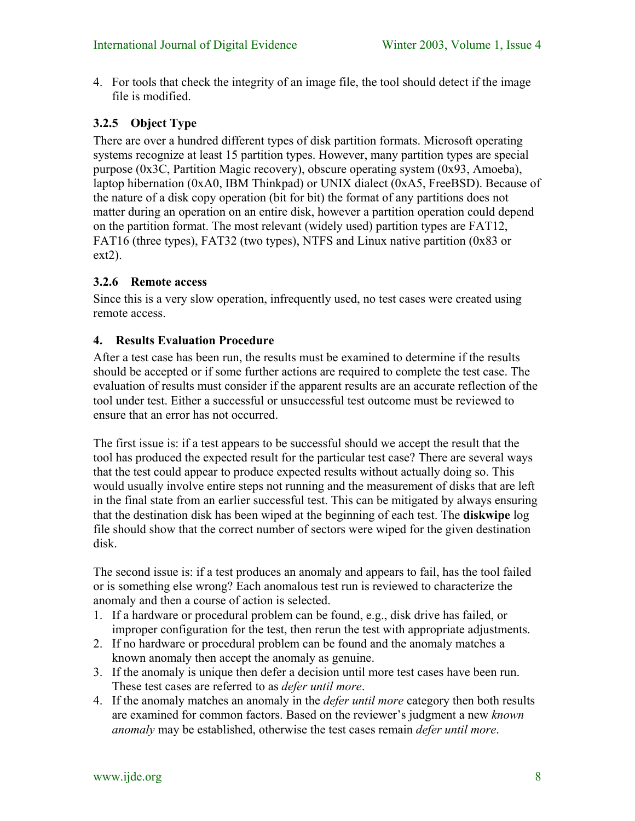4. For tools that check the integrity of an image file, the tool should detect if the image file is modified.

# **3.2.5 Object Type**

There are over a hundred different types of disk partition formats. Microsoft operating systems recognize at least 15 partition types. However, many partition types are special purpose (0x3C, Partition Magic recovery), obscure operating system (0x93, Amoeba), laptop hibernation (0xA0, IBM Thinkpad) or UNIX dialect (0xA5, FreeBSD). Because of the nature of a disk copy operation (bit for bit) the format of any partitions does not matter during an operation on an entire disk, however a partition operation could depend on the partition format. The most relevant (widely used) partition types are FAT12, FAT16 (three types), FAT32 (two types), NTFS and Linux native partition (0x83 or  $ext2$ ).

# **3.2.6 Remote access**

Since this is a very slow operation, infrequently used, no test cases were created using remote access.

### **4. Results Evaluation Procedure**

After a test case has been run, the results must be examined to determine if the results should be accepted or if some further actions are required to complete the test case. The evaluation of results must consider if the apparent results are an accurate reflection of the tool under test. Either a successful or unsuccessful test outcome must be reviewed to ensure that an error has not occurred.

The first issue is: if a test appears to be successful should we accept the result that the tool has produced the expected result for the particular test case? There are several ways that the test could appear to produce expected results without actually doing so. This would usually involve entire steps not running and the measurement of disks that are left in the final state from an earlier successful test. This can be mitigated by always ensuring that the destination disk has been wiped at the beginning of each test. The **diskwipe** log file should show that the correct number of sectors were wiped for the given destination disk.

The second issue is: if a test produces an anomaly and appears to fail, has the tool failed or is something else wrong? Each anomalous test run is reviewed to characterize the anomaly and then a course of action is selected.

- 1. If a hardware or procedural problem can be found, e.g., disk drive has failed, or improper configuration for the test, then rerun the test with appropriate adjustments.
- 2. If no hardware or procedural problem can be found and the anomaly matches a known anomaly then accept the anomaly as genuine.
- 3. If the anomaly is unique then defer a decision until more test cases have been run. These test cases are referred to as *defer until more*.
- 4. If the anomaly matches an anomaly in the *defer until more* category then both results are examined for common factors. Based on the reviewer's judgment a new *known anomaly* may be established, otherwise the test cases remain *defer until more*.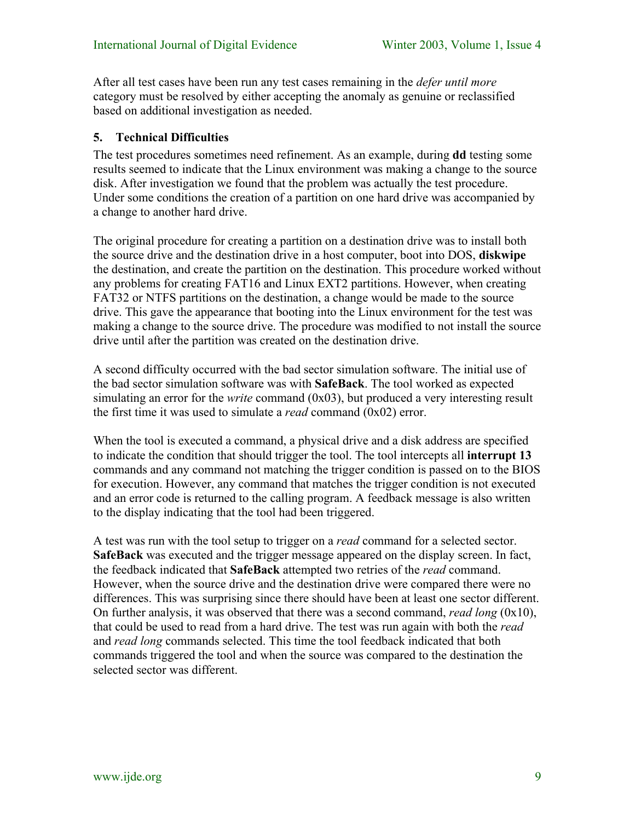After all test cases have been run any test cases remaining in the *defer until more* category must be resolved by either accepting the anomaly as genuine or reclassified based on additional investigation as needed.

# **5. Technical Difficulties**

The test procedures sometimes need refinement. As an example, during **dd** testing some results seemed to indicate that the Linux environment was making a change to the source disk. After investigation we found that the problem was actually the test procedure. Under some conditions the creation of a partition on one hard drive was accompanied by a change to another hard drive.

The original procedure for creating a partition on a destination drive was to install both the source drive and the destination drive in a host computer, boot into DOS, **diskwipe** the destination, and create the partition on the destination. This procedure worked without any problems for creating FAT16 and Linux EXT2 partitions. However, when creating FAT32 or NTFS partitions on the destination, a change would be made to the source drive. This gave the appearance that booting into the Linux environment for the test was making a change to the source drive. The procedure was modified to not install the source drive until after the partition was created on the destination drive.

A second difficulty occurred with the bad sector simulation software. The initial use of the bad sector simulation software was with **SafeBack**. The tool worked as expected simulating an error for the *write* command (0x03), but produced a very interesting result the first time it was used to simulate a *read* command (0x02) error.

When the tool is executed a command, a physical drive and a disk address are specified to indicate the condition that should trigger the tool. The tool intercepts all **interrupt 13** commands and any command not matching the trigger condition is passed on to the BIOS for execution. However, any command that matches the trigger condition is not executed and an error code is returned to the calling program. A feedback message is also written to the display indicating that the tool had been triggered.

A test was run with the tool setup to trigger on a *read* command for a selected sector. **SafeBack** was executed and the trigger message appeared on the display screen. In fact, the feedback indicated that **SafeBack** attempted two retries of the *read* command. However, when the source drive and the destination drive were compared there were no differences. This was surprising since there should have been at least one sector different. On further analysis, it was observed that there was a second command, *read long* (0x10), that could be used to read from a hard drive. The test was run again with both the *read* and *read long* commands selected. This time the tool feedback indicated that both commands triggered the tool and when the source was compared to the destination the selected sector was different.